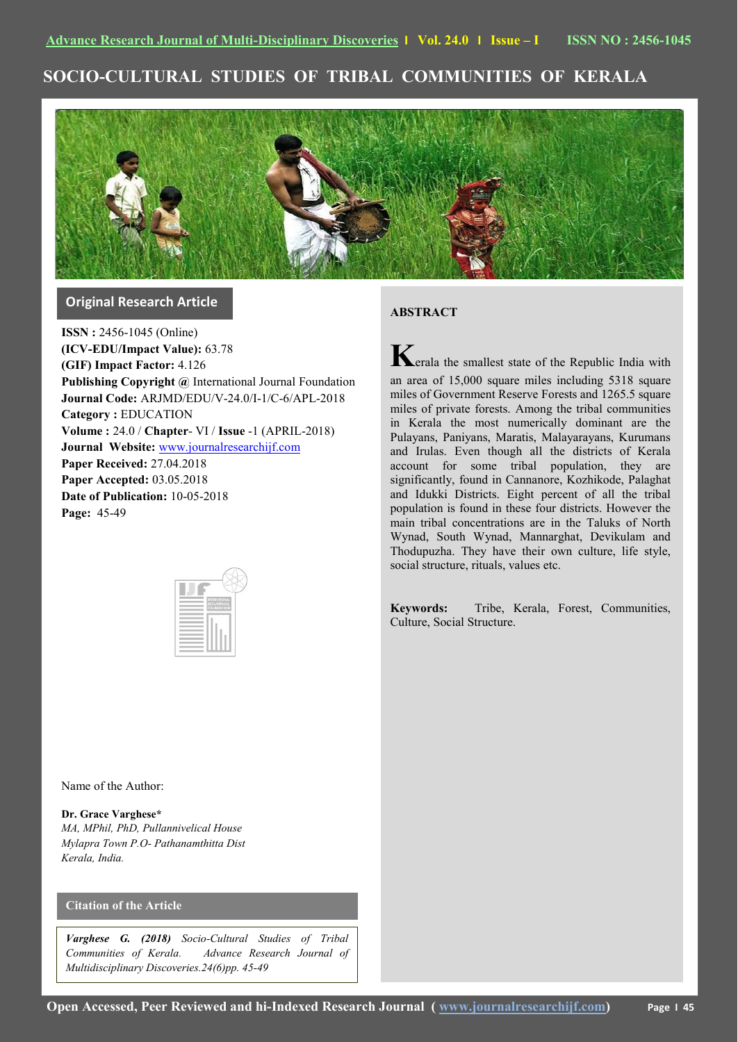# **SOCIO-CULTURAL STUDIES OF TRIBAL COMMUNITIES OF KERALA**



## **Original Research Article**

**ISSN :** 2456-1045 (Online) **(ICV-EDU/Impact Value):** 63.78 **(GIF) Impact Factor:** 4.126 **Publishing Copyright @** International Journal Foundation **Journal Code:** ARJMD/EDU/V-24.0/I-1/C-6/APL-2018 **Category :** EDUCATION **Volume :** 24.0 / **Chapter**- VI / **Issue** -1 (APRIL-2018) **Journal Website:** [www.journalresearchijf.com](http://www.journalresearchijf.com/) **Paper Received:** 27.04.2018 **Paper Accepted:** 03.05.2018 **Date of Publication:** 10-05-2018 **Page:** 45-49



### **ABSTRACT**

**K**erala the smallest state of the Republic India with an area of 15,000 square miles including 5318 square miles of Government Reserve Forests and 1265.5 square miles of private forests. Among the tribal communities in Kerala the most numerically dominant are the Pulayans, Paniyans, Maratis, Malayarayans, Kurumans and Irulas. Even though all the districts of Kerala account for some tribal population, they are significantly, found in Cannanore, Kozhikode, Palaghat and Idukki Districts. Eight percent of all the tribal population is found in these four districts. However the main tribal concentrations are in the Taluks of North Wynad, South Wynad, Mannarghat, Devikulam and Thodupuzha. They have their own culture, life style, social structure, rituals, values etc.

**Keywords:** Tribe, Kerala, Forest, Communities, Culture, Social Structure.

Name of the Author:

**Dr. Grace Varghese\*** *MA, MPhil, PhD, Pullannivelical House Mylapra Town P.O- Pathanamthitta Dist Kerala, India.*

## **Citation of the Article**

*Varghese G. (2018) Socio-Cultural Studies of Tribal Communities of Kerala. Advance Research Journal of Multidisciplinary Discoveries.24(6)pp. 45-49*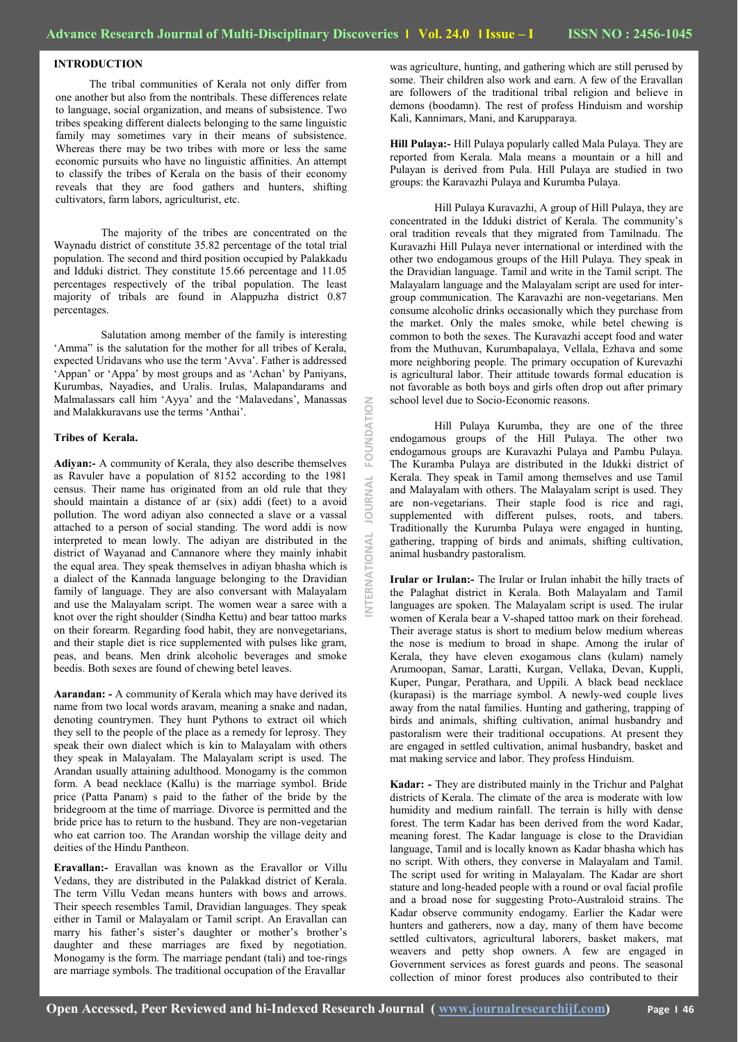**INTERNATIONAL JOURNAL FOUNDATION**

JOU

**IONAL** Ę

**NO** 

NDATI

FOU

## **INTRODUCTION**

The tribal communities of Kerala not only differ from one another but also from the nontribals. These differences relate to language, social organization, and means of subsistence. Two tribes speaking different dialects belonging to the same linguistic family may sometimes vary in their means of subsistence. Whereas there may be two tribes with more or less the same economic pursuits who have no linguistic affinities. An attempt to classify the tribes of Kerala on the basis of their economy reveals that they are food gathers and hunters, shifting cultivators, farm labors, agriculturist, etc.

The majority of the tribes are concentrated on the Waynadu district of constitute 35.82 percentage of the total trial population. The second and third position occupied by Palakkadu and Idduki district. They constitute 15.66 percentage and 11.05 percentages respectively of the tribal population. The least majority of tribals are found in Alappuzha district 0.87 percentages.

Salutation among member of the family is interesting 'Amma" is the salutation for the mother for all tribes of Kerala, expected Uridavans who use the term "Avva". Father is addressed 'Appan' or 'Appa' by most groups and as 'Achan' by Paniyans, Kurumbas, Nayadies, and Uralis. Irulas, Malapandarams and Malmalassars call him 'Ayya' and the 'Malavedans', Manassas and Malakkuravans use the terms "Anthai".

#### **Tribes of Kerala.**

**Adiyan:-** A community of Kerala, they also describe themselves as Ravuler have a population of 8152 according to the 1981 census. Their name has originated from an old rule that they should maintain a distance of ar (six) addi (feet) to a avoid pollution. The word adiyan also connected a slave or a vassal attached to a person of social standing. The word addi is now interpreted to mean lowly. The adiyan are distributed in the district of Wayanad and Cannanore where they mainly inhabit the equal area. They speak themselves in adiyan bhasha which is a dialect of the Kannada language belonging to the Dravidian family of language. They are also conversant with Malayalam and use the Malayalam script. The women wear a saree with a knot over the right shoulder (Sindha Kettu) and bear tattoo marks on their forearm. Regarding food habit, they are nonvegetarians, and their staple diet is rice supplemented with pulses like gram, peas, and beans. Men drink alcoholic beverages and smoke beedis. Both sexes are found of chewing betel leaves.

**Aarandan: -** A community of Kerala which may have derived its name from two local words aravam, meaning a snake and nadan, denoting countrymen. They hunt Pythons to extract oil which they sell to the people of the place as a remedy for leprosy. They speak their own dialect which is kin to Malayalam with others they speak in Malayalam. The Malayalam script is used. The Arandan usually attaining adulthood. Monogamy is the common form. A bead necklace (Kallu) is the marriage symbol. Bride price (Patta Panam) s paid to the father of the bride by the bridegroom at the time of marriage. Divorce is permitted and the bride price has to return to the husband. They are non-vegetarian who eat carrion too. The Arandan worship the village deity and deities of the Hindu Pantheon.

**Eravallan:-** Eravallan was known as the Eravallor or Villu Vedans, they are distributed in the Palakkad district of Kerala. The term Villu Vedan means hunters with bows and arrows. Their speech resembles Tamil, Dravidian languages. They speak either in Tamil or Malayalam or Tamil script. An Eravallan can marry his father's sister's daughter or mother's brother's daughter and these marriages are fixed by negotiation. Monogamy is the form. The marriage pendant (tali) and toe-rings are marriage symbols. The traditional occupation of the Eravallar

was agriculture, hunting, and gathering which are still perused by some. Their children also work and earn. A few of the Eravallan are followers of the traditional tribal religion and believe in demons (boodamn). The rest of profess Hinduism and worship Kali, Kannimars, Mani, and Karupparaya.

**Hill Pulaya:-** Hill Pulaya popularly called Mala Pulaya. They are reported from Kerala. Mala means a mountain or a hill and Pulayan is derived from Pula. Hill Pulaya are studied in two groups: the Karavazhi Pulaya and Kurumba Pulaya.

Hill Pulaya Kuravazhi, A group of Hill Pulaya, they are concentrated in the Idduki district of Kerala. The community"s oral tradition reveals that they migrated from Tamilnadu. The Kuravazhi Hill Pulaya never international or interdined with the other two endogamous groups of the Hill Pulaya. They speak in the Dravidian language. Tamil and write in the Tamil script. The Malayalam language and the Malayalam script are used for intergroup communication. The Karavazhi are non-vegetarians. Men consume alcoholic drinks occasionally which they purchase from the market. Only the males smoke, while betel chewing is common to both the sexes. The Kuravazhi accept food and water from the Muthuvan, Kurumbapalaya, Vellala, Ezhava and some more neighboring people. The primary occupation of Kurevazhi is agricultural labor. Their attitude towards formal education is not favorable as both boys and girls often drop out after primary school level due to Socio-Economic reasons.

Hill Pulaya Kurumba, they are one of the three endogamous groups of the Hill Pulaya. The other two endogamous groups are Kuravazhi Pulaya and Pambu Pulaya. The Kuramba Pulaya are distributed in the Idukki district of Kerala. They speak in Tamil among themselves and use Tamil and Malayalam with others. The Malayalam script is used. They are non-vegetarians. Their staple food is rice and ragi, supplemented with different pulses, roots, and tabers. Traditionally the Kurumba Pulaya were engaged in hunting, gathering, trapping of birds and animals, shifting cultivation, animal husbandry pastoralism.

**Irular or Irulan:-** The Irular or Irulan inhabit the hilly tracts of the Palaghat district in Kerala. Both Malayalam and Tamil languages are spoken. The Malayalam script is used. The irular women of Kerala bear a V-shaped tattoo mark on their forehead. Their average status is short to medium below medium whereas the nose is medium to broad in shape. Among the irular of Kerala, they have eleven exogamous clans (kulam) namely Arumoopan, Samar, Laratti, Kurgan, Vellaka, Devan, Kuppli, Kuper, Pungar, Perathara, and Uppili. A black bead necklace (kurapasi) is the marriage symbol. A newly-wed couple lives away from the natal families. Hunting and gathering, trapping of birds and animals, shifting cultivation, animal husbandry and pastoralism were their traditional occupations. At present they are engaged in settled cultivation, animal husbandry, basket and mat making service and labor. They profess Hinduism.

**Kadar: -** They are distributed mainly in the Trichur and Palghat districts of Kerala. The climate of the area is moderate with low humidity and medium rainfall. The terrain is hilly with dense forest. The term Kadar has been derived from the word Kadar, meaning forest. The Kadar language is close to the Dravidian language, Tamil and is locally known as Kadar bhasha which has no script. With others, they converse in Malayalam and Tamil. The script used for writing in Malayalam. The Kadar are short stature and long-headed people with a round or oval facial profile and a broad nose for suggesting Proto-Australoid strains. The Kadar observe community endogamy. Earlier the Kadar were hunters and gatherers, now a day, many of them have become settled cultivators, agricultural laborers, basket makers, mat weavers and petty shop owners. A few are engaged in Government services as forest guards and peons. The seasonal collection of minor forest produces also contributed to their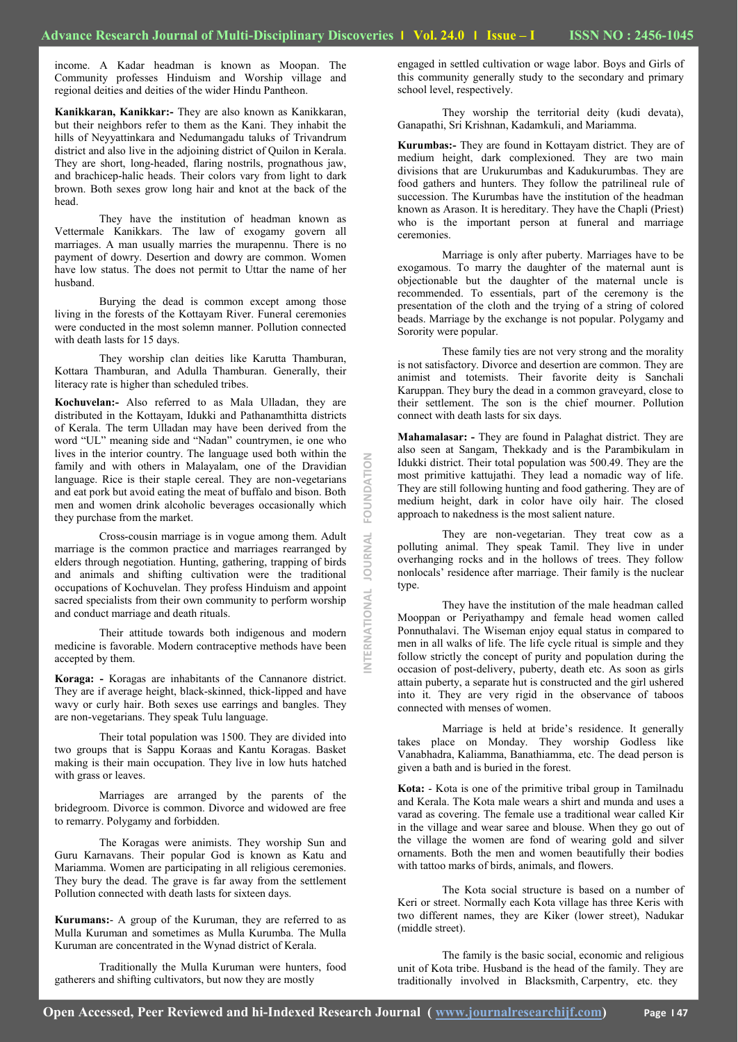**INTERNATIONAL JOURNAL FOUNDATION**

RNATIONAL

JOURNAL

FOUNDATION

income. A Kadar headman is known as Moopan. The Community professes Hinduism and Worship village and regional deities and deities of the wider Hindu Pantheon.

**Kanikkaran, Kanikkar:-** They are also known as Kanikkaran, but their neighbors refer to them as the Kani. They inhabit the hills of Neyyattinkara and Nedumangadu taluks of Trivandrum district and also live in the adjoining district of Quilon in Kerala. They are short, long-headed, flaring nostrils, prognathous jaw, and brachicep-halic heads. Their colors vary from light to dark brown. Both sexes grow long hair and knot at the back of the head.

They have the institution of headman known as Vettermale Kanikkars. The law of exogamy govern all marriages. A man usually marries the murapennu. There is no payment of dowry. Desertion and dowry are common. Women have low status. The does not permit to Uttar the name of her husband.

Burying the dead is common except among those living in the forests of the Kottayam River. Funeral ceremonies were conducted in the most solemn manner. Pollution connected with death lasts for 15 days.

They worship clan deities like Karutta Thamburan, Kottara Thamburan, and Adulla Thamburan. Generally, their literacy rate is higher than scheduled tribes.

**Kochuvelan:-** Also referred to as Mala Ulladan, they are distributed in the Kottayam, Idukki and Pathanamthitta districts of Kerala. The term Ulladan may have been derived from the word "UL" meaning side and "Nadan" countrymen, ie one who lives in the interior country. The language used both within the family and with others in Malayalam, one of the Dravidian language. Rice is their staple cereal. They are non-vegetarians and eat pork but avoid eating the meat of buffalo and bison. Both men and women drink alcoholic beverages occasionally which they purchase from the market.

Cross-cousin marriage is in vogue among them. Adult marriage is the common practice and marriages rearranged by elders through negotiation. Hunting, gathering, trapping of birds and animals and shifting cultivation were the traditional occupations of Kochuvelan. They profess Hinduism and appoint sacred specialists from their own community to perform worship and conduct marriage and death rituals.

Their attitude towards both indigenous and modern medicine is favorable. Modern contraceptive methods have been accepted by them.

**Koraga: -** Koragas are inhabitants of the Cannanore district. They are if average height, black-skinned, thick-lipped and have wavy or curly hair. Both sexes use earrings and bangles. They are non-vegetarians. They speak Tulu language.

Their total population was 1500. They are divided into two groups that is Sappu Koraas and Kantu Koragas. Basket making is their main occupation. They live in low huts hatched with grass or leaves.

Marriages are arranged by the parents of the bridegroom. Divorce is common. Divorce and widowed are free to remarry. Polygamy and forbidden.

The Koragas were animists. They worship Sun and Guru Karnavans. Their popular God is known as Katu and Mariamma. Women are participating in all religious ceremonies. They bury the dead. The grave is far away from the settlement Pollution connected with death lasts for sixteen days.

**Kurumans:**- A group of the Kuruman, they are referred to as Mulla Kuruman and sometimes as Mulla Kurumba. The Mulla Kuruman are concentrated in the Wynad district of Kerala.

Traditionally the Mulla Kuruman were hunters, food gatherers and shifting cultivators, but now they are mostly

engaged in settled cultivation or wage labor. Boys and Girls of this community generally study to the secondary and primary school level, respectively.

They worship the territorial deity (kudi devata), Ganapathi, Sri Krishnan, Kadamkuli, and Mariamma.

**Kurumbas:-** They are found in Kottayam district. They are of medium height, dark complexioned. They are two main divisions that are Urukurumbas and Kadukurumbas. They are food gathers and hunters. They follow the patrilineal rule of succession. The Kurumbas have the institution of the headman known as Arason. It is hereditary. They have the Chapli (Priest) who is the important person at funeral and marriage ceremonies.

Marriage is only after puberty. Marriages have to be exogamous. To marry the daughter of the maternal aunt is objectionable but the daughter of the maternal uncle is recommended. To essentials, part of the ceremony is the presentation of the cloth and the trying of a string of colored beads. Marriage by the exchange is not popular. Polygamy and Sorority were popular.

These family ties are not very strong and the morality is not satisfactory. Divorce and desertion are common. They are animist and totemists. Their favorite deity is Sanchali Karuppan. They bury the dead in a common graveyard, close to their settlement. The son is the chief mourner. Pollution connect with death lasts for six days.

**Mahamalasar: -** They are found in Palaghat district. They are also seen at Sangam, Thekkady and is the Parambikulam in Idukki district. Their total population was 500.49. They are the most primitive kattujathi. They lead a nomadic way of life. They are still following hunting and food gathering. They are of medium height, dark in color have oily hair. The closed approach to nakedness is the most salient nature.

They are non-vegetarian. They treat cow as a polluting animal. They speak Tamil. They live in under overhanging rocks and in the hollows of trees. They follow nonlocals' residence after marriage. Their family is the nuclear type.

They have the institution of the male headman called Mooppan or Periyathampy and female head women called Ponnuthalavi. The Wiseman enjoy equal status in compared to men in all walks of life. The life cycle ritual is simple and they follow strictly the concept of purity and population during the occasion of post-delivery, puberty, death etc. As soon as girls attain puberty, a separate hut is constructed and the girl ushered into it. They are very rigid in the observance of taboos connected with menses of women.

Marriage is held at bride"s residence. It generally takes place on Monday. They worship Godless like Vanabhadra, Kaliamma, Banathiamma, etc. The dead person is given a bath and is buried in the forest.

**Kota:** - Kota is one of the primitive tribal group in Tamilnadu and Kerala. The Kota male wears a shirt and munda and uses a varad as covering. The female use a traditional wear called Kir in the village and wear saree and blouse. When they go out of the village the women are fond of wearing gold and silver ornaments. Both the men and women beautifully their bodies with tattoo marks of birds, animals, and flowers.

The Kota social structure is based on a number of Keri or street. Normally each Kota village has three Keris with two different names, they are Kiker (lower street), Nadukar (middle street).

The family is the basic social, economic and religious unit of Kota tribe. Husband is the head of the family. They are traditionally involved in Blacksmith, Carpentry, etc. they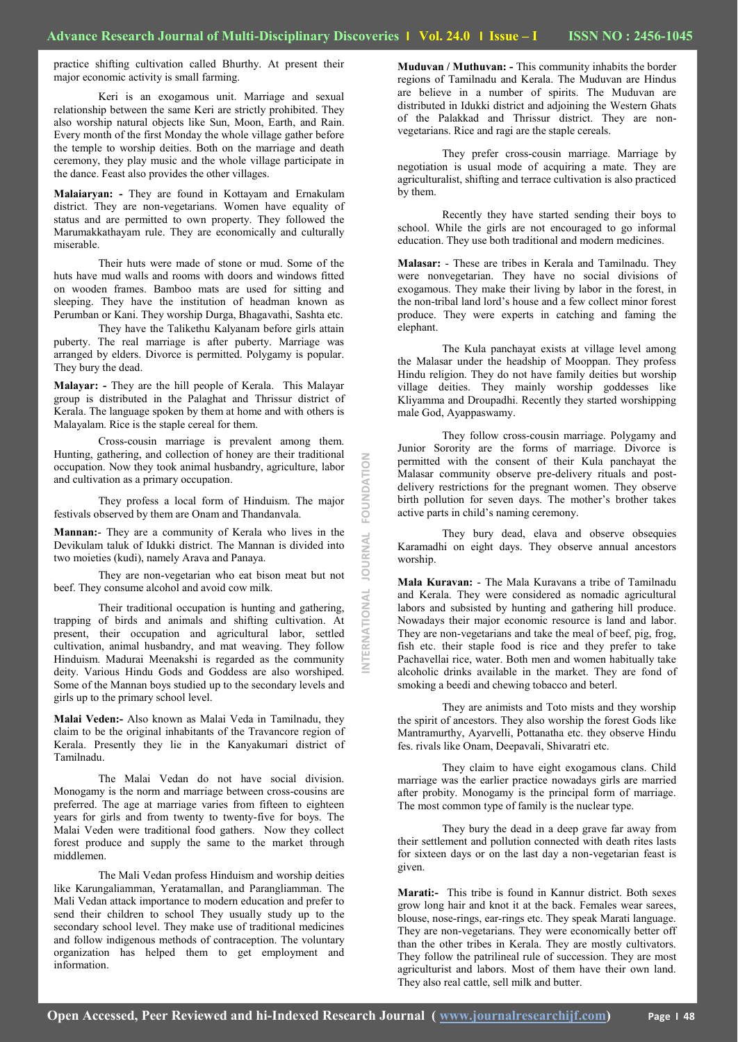**INTERNATIONAL JOURNAL FOUNDATION**

INTERNATIONAL

**JOURNAL** 

FOUNDATION

practice shifting cultivation called Bhurthy. At present their major economic activity is small farming.

Keri is an exogamous unit. Marriage and sexual relationship between the same Keri are strictly prohibited. They also worship natural objects like Sun, Moon, Earth, and Rain. Every month of the first Monday the whole village gather before the temple to worship deities. Both on the marriage and death ceremony, they play music and the whole village participate in the dance. Feast also provides the other villages.

**Malaiaryan: -** They are found in Kottayam and Ernakulam district. They are non-vegetarians. Women have equality of status and are permitted to own property. They followed the Marumakkathayam rule. They are economically and culturally miserable.

Their huts were made of stone or mud. Some of the huts have mud walls and rooms with doors and windows fitted on wooden frames. Bamboo mats are used for sitting and sleeping. They have the institution of headman known as Perumban or Kani. They worship Durga, Bhagavathi, Sashta etc.

They have the Talikethu Kalyanam before girls attain puberty. The real marriage is after puberty. Marriage was arranged by elders. Divorce is permitted. Polygamy is popular. They bury the dead.

**Malayar: -** They are the hill people of Kerala. This Malayar group is distributed in the Palaghat and Thrissur district of Kerala. The language spoken by them at home and with others is Malayalam. Rice is the staple cereal for them.

Cross-cousin marriage is prevalent among them. Hunting, gathering, and collection of honey are their traditional occupation. Now they took animal husbandry, agriculture, labor and cultivation as a primary occupation.

They profess a local form of Hinduism. The major festivals observed by them are Onam and Thandanvala.

**Mannan:**- They are a community of Kerala who lives in the Devikulam taluk of Idukki district. The Mannan is divided into two moieties (kudi), namely Arava and Panaya.

They are non-vegetarian who eat bison meat but not beef. They consume alcohol and avoid cow milk.

Their traditional occupation is hunting and gathering, trapping of birds and animals and shifting cultivation. At present, their occupation and agricultural labor, settled cultivation, animal husbandry, and mat weaving. They follow Hinduism. Madurai Meenakshi is regarded as the community deity. Various Hindu Gods and Goddess are also worshiped. Some of the Mannan boys studied up to the secondary levels and girls up to the primary school level.

**Malai Veden:-** Also known as Malai Veda in Tamilnadu, they claim to be the original inhabitants of the Travancore region of Kerala. Presently they lie in the Kanyakumari district of Tamilnadu.

The Malai Vedan do not have social division. Monogamy is the norm and marriage between cross-cousins are preferred. The age at marriage varies from fifteen to eighteen years for girls and from twenty to twenty-five for boys. The Malai Veden were traditional food gathers. Now they collect forest produce and supply the same to the market through middlemen.

The Mali Vedan profess Hinduism and worship deities like Karungaliamman, Yeratamallan, and Parangliamman. The Mali Vedan attack importance to modern education and prefer to send their children to school They usually study up to the secondary school level. They make use of traditional medicines and follow indigenous methods of contraception. The voluntary organization has helped them to get employment and information.

**Muduvan / Muthuvan: -** This community inhabits the border regions of Tamilnadu and Kerala. The Muduvan are Hindus are believe in a number of spirits. The Muduvan are distributed in Idukki district and adjoining the Western Ghats of the Palakkad and Thrissur district. They are nonvegetarians. Rice and ragi are the staple cereals.

They prefer cross-cousin marriage. Marriage by negotiation is usual mode of acquiring a mate. They are agriculturalist, shifting and terrace cultivation is also practiced by them.

Recently they have started sending their boys to school. While the girls are not encouraged to go informal education. They use both traditional and modern medicines.

**Malasar:** - These are tribes in Kerala and Tamilnadu. They were nonvegetarian. They have no social divisions of exogamous. They make their living by labor in the forest, in the non-tribal land lord"s house and a few collect minor forest produce. They were experts in catching and faming the elephant.

The Kula panchayat exists at village level among the Malasar under the headship of Mooppan. They profess Hindu religion. They do not have family deities but worship village deities. They mainly worship goddesses like Kliyamma and Droupadhi. Recently they started worshipping male God, Ayappaswamy.

They follow cross-cousin marriage. Polygamy and Junior Sorority are the forms of marriage. Divorce is permitted with the consent of their Kula panchayat the Malasar community observe pre-delivery rituals and postdelivery restrictions for the pregnant women. They observe birth pollution for seven days. The mother's brother takes active parts in child"s naming ceremony.

They bury dead, elava and observe obsequies Karamadhi on eight days. They observe annual ancestors worship.

**Mala Kuravan:** - The Mala Kuravans a tribe of Tamilnadu and Kerala. They were considered as nomadic agricultural labors and subsisted by hunting and gathering hill produce. Nowadays their major economic resource is land and labor. They are non-vegetarians and take the meal of beef, pig, frog, fish etc. their staple food is rice and they prefer to take Pachavellai rice, water. Both men and women habitually take alcoholic drinks available in the market. They are fond of smoking a beedi and chewing tobacco and beterl.

They are animists and Toto mists and they worship the spirit of ancestors. They also worship the forest Gods like Mantramurthy, Ayarvelli, Pottanatha etc. they observe Hindu fes. rivals like Onam, Deepavali, Shivaratri etc.

They claim to have eight exogamous clans. Child marriage was the earlier practice nowadays girls are married after probity. Monogamy is the principal form of marriage. The most common type of family is the nuclear type.

They bury the dead in a deep grave far away from their settlement and pollution connected with death rites lasts for sixteen days or on the last day a non-vegetarian feast is given.

**Marati:-** This tribe is found in Kannur district. Both sexes grow long hair and knot it at the back. Females wear sarees, blouse, nose-rings, ear-rings etc. They speak Marati language. They are non-vegetarians. They were economically better off than the other tribes in Kerala. They are mostly cultivators. They follow the patrilineal rule of succession. They are most agriculturist and labors. Most of them have their own land. They also real cattle, sell milk and butter.